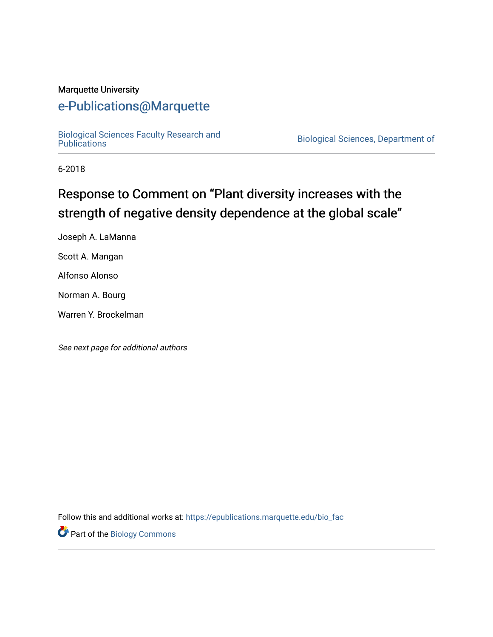#### Marquette University

## [e-Publications@Marquette](https://epublications.marquette.edu/)

[Biological Sciences Faculty Research and](https://epublications.marquette.edu/bio_fac) 

Biological Sciences, Department of

6-2018

## Response to Comment on "Plant diversity increases with the strength of negative density dependence at the global scale"

Joseph A. LaManna

Scott A. Mangan

Alfonso Alonso

Norman A. Bourg

Warren Y. Brockelman

See next page for additional authors

Follow this and additional works at: [https://epublications.marquette.edu/bio\\_fac](https://epublications.marquette.edu/bio_fac?utm_source=epublications.marquette.edu%2Fbio_fac%2F727&utm_medium=PDF&utm_campaign=PDFCoverPages) 

Part of the [Biology Commons](http://network.bepress.com/hgg/discipline/41?utm_source=epublications.marquette.edu%2Fbio_fac%2F727&utm_medium=PDF&utm_campaign=PDFCoverPages)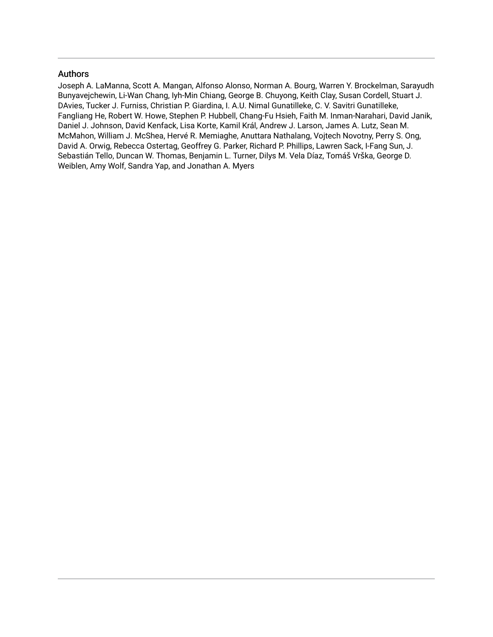#### Authors

Joseph A. LaManna, Scott A. Mangan, Alfonso Alonso, Norman A. Bourg, Warren Y. Brockelman, Sarayudh Bunyavejchewin, Li-Wan Chang, Iyh-Min Chiang, George B. Chuyong, Keith Clay, Susan Cordell, Stuart J. DAvies, Tucker J. Furniss, Christian P. Giardina, I. A.U. Nimal Gunatilleke, C. V. Savitri Gunatilleke, Fangliang He, Robert W. Howe, Stephen P. Hubbell, Chang-Fu Hsieh, Faith M. Inman-Narahari, David Janik, Daniel J. Johnson, David Kenfack, Lisa Korte, Kamil Král, Andrew J. Larson, James A. Lutz, Sean M. McMahon, William J. McShea, Hervé R. Memiaghe, Anuttara Nathalang, Vojtech Novotny, Perry S. Ong, David A. Orwig, Rebecca Ostertag, Geoffrey G. Parker, Richard P. Phillips, Lawren Sack, I-Fang Sun, J. Sebastián Tello, Duncan W. Thomas, Benjamin L. Turner, Dilys M. Vela Díaz, Tomáš Vrška, George D. Weiblen, Amy Wolf, Sandra Yap, and Jonathan A. Myers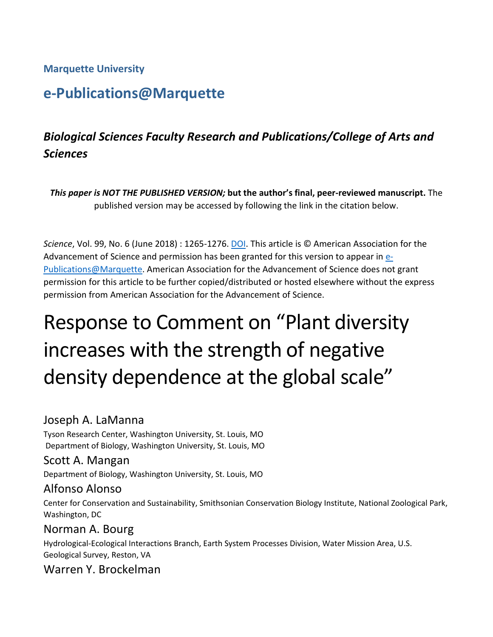## **Marquette University**

## **e-Publications@Marquette**

## *Biological Sciences Faculty Research and Publications/College of Arts and Sciences*

*This paper is NOT THE PUBLISHED VERSION;* **but the author's final, peer-reviewed manuscript.** The published version may be accessed by following the link in the citation below.

*Science*, Vol. 99, No. 6 (June 2018) : 1265-1276. [DOI.](https://science.sciencemag.org/content/360/6391/eaar3824) This article is © American Association for the Advancement of Science and permission has been granted for this version to appear in [e-](http://epublications.marquette.edu/)[Publications@Marquette.](http://epublications.marquette.edu/) American Association for the Advancement of Science does not grant permission for this article to be further copied/distributed or hosted elsewhere without the express permission from American Association for the Advancement of Science.

# Response to Comment on "Plant diversity increases with the strength of negative density dependence at the global scale"

## Joseph A. LaManna

Tyson Research Center, Washington University, St. Louis, MO Department of Biology, Washington University, St. Louis, MO

## Scott A. Mangan

Department of Biology, Washington University, St. Louis, MO

## Alfonso Alonso

Center for Conservation and Sustainability, Smithsonian Conservation Biology Institute, National Zoological Park, Washington, DC

## Norman A. Bourg

Hydrological-Ecological Interactions Branch, Earth System Processes Division, Water Mission Area, U.S. Geological Survey, Reston, VA

## Warren Y. Brockelman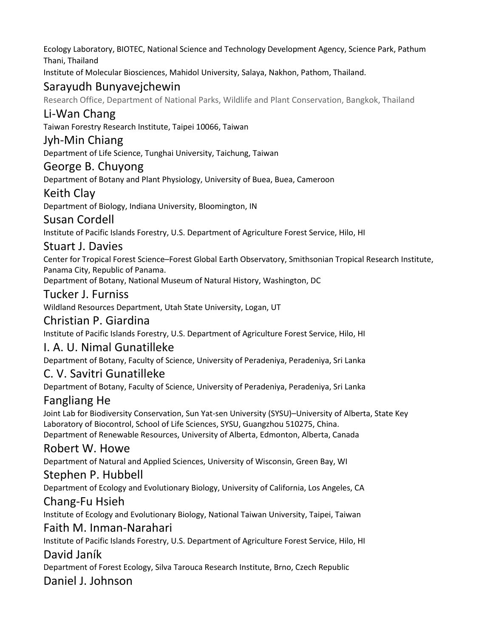Ecology Laboratory, BIOTEC, National Science and Technology Development Agency, Science Park, Pathum Thani, Thailand

Institute of Molecular Biosciences, Mahidol University, Salaya, Nakhon, Pathom, Thailand.

## Sarayudh Bunyavejchewin

Research Office, Department of National Parks, Wildlife and Plant Conservation, Bangkok, Thailand

## Li-Wan Chang

Taiwan Forestry Research Institute, Taipei 10066, Taiwan

## Jyh-Min Chiang

Department of Life Science, Tunghai University, Taichung, Taiwan

## George B. Chuyong

Department of Botany and Plant Physiology, University of Buea, Buea, Cameroon

## Keith Clay

Department of Biology, Indiana University, Bloomington, IN

## Susan Cordell

Institute of Pacific Islands Forestry, U.S. Department of Agriculture Forest Service, Hilo, HI

## Stuart J. Davies

Center for Tropical Forest Science–Forest Global Earth Observatory, Smithsonian Tropical Research Institute, Panama City, Republic of Panama.

Department of Botany, National Museum of Natural History, Washington, DC

## Tucker J. Furniss

Wildland Resources Department, Utah State University, Logan, UT

## Christian P. Giardina

Institute of Pacific Islands Forestry, U.S. Department of Agriculture Forest Service, Hilo, HI

## I. A. U. Nimal Gunatilleke

Department of Botany, Faculty of Science, University of Peradeniya, Peradeniya, Sri Lanka

## C. V. Savitri Gunatilleke

Department of Botany, Faculty of Science, University of Peradeniya, Peradeniya, Sri Lanka

## Fangliang He

Joint Lab for Biodiversity Conservation, Sun Yat-sen University (SYSU)–University of Alberta, State Key Laboratory of Biocontrol, School of Life Sciences, SYSU, Guangzhou 510275, China. Department of Renewable Resources, University of Alberta, Edmonton, Alberta, Canada

## Robert W. Howe

Department of Natural and Applied Sciences, University of Wisconsin, Green Bay, WI

## Stephen P. Hubbell

Department of Ecology and Evolutionary Biology, University of California, Los Angeles, CA

## Chang-Fu Hsieh

Institute of Ecology and Evolutionary Biology, National Taiwan University, Taipei, Taiwan

## Faith M. Inman-Narahari

Institute of Pacific Islands Forestry, U.S. Department of Agriculture Forest Service, Hilo, HI

## David Janík

Department of Forest Ecology, Silva Tarouca Research Institute, Brno, Czech Republic

## Daniel J. Johnson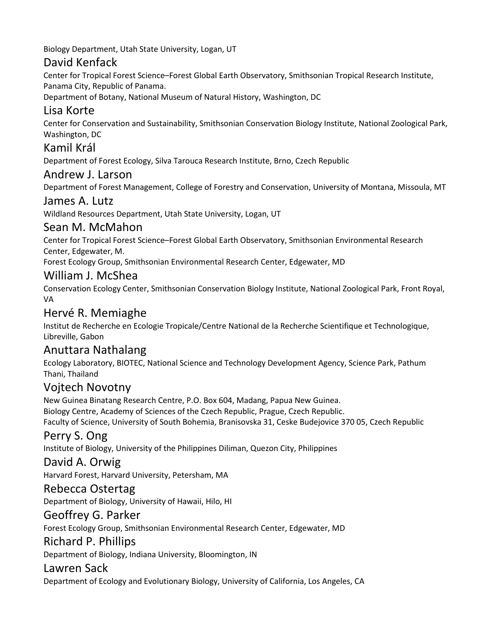Biology Department, Utah State University, Logan, UT

## David Kenfack

Center for Tropical Forest Science–Forest Global Earth Observatory, Smithsonian Tropical Research Institute, Panama City, Republic of Panama.

Department of Botany, National Museum of Natural History, Washington, DC

## Lisa Korte

Center for Conservation and Sustainability, Smithsonian Conservation Biology Institute, National Zoological Park, Washington, DC

## Kamil Král

Department of Forest Ecology, Silva Tarouca Research Institute, Brno, Czech Republic

## Andrew J. Larson

Department of Forest Management, College of Forestry and Conservation, University of Montana, Missoula, MT

## James A. Lutz

Wildland Resources Department, Utah State University, Logan, UT

## Sean M. McMahon

Center for Tropical Forest Science–Forest Global Earth Observatory, Smithsonian Environmental Research Center, Edgewater, M.

Forest Ecology Group, Smithsonian Environmental Research Center, Edgewater, MD

## William J. McShea

Conservation Ecology Center, Smithsonian Conservation Biology Institute, National Zoological Park, Front Royal, VA

## Hervé R. Memiaghe

Institut de Recherche en Ecologie Tropicale/Centre National de la Recherche Scientifique et Technologique, Libreville, Gabon

## Anuttara Nathalang

Ecology Laboratory, BIOTEC, National Science and Technology Development Agency, Science Park, Pathum Thani, Thailand

## Vojtech Novotny

New Guinea Binatang Research Centre, P.O. Box 604, Madang, Papua New Guinea. Biology Centre, Academy of Sciences of the Czech Republic, Prague, Czech Republic. Faculty of Science, University of South Bohemia, Branisovska 31, Ceske Budejovice 370 05, Czech Republic

## Perry S. Ong

Institute of Biology, University of the Philippines Diliman, Quezon City, Philippines

## David A. Orwig

Harvard Forest, Harvard University, Petersham, MA

## Rebecca Ostertag

Department of Biology, University of Hawaii, Hilo, HI

## Geoffrey G. Parker

Forest Ecology Group, Smithsonian Environmental Research Center, Edgewater, MD

## Richard P. Phillips

Department of Biology, Indiana University, Bloomington, IN

## Lawren Sack

Department of Ecology and Evolutionary Biology, University of California, Los Angeles, CA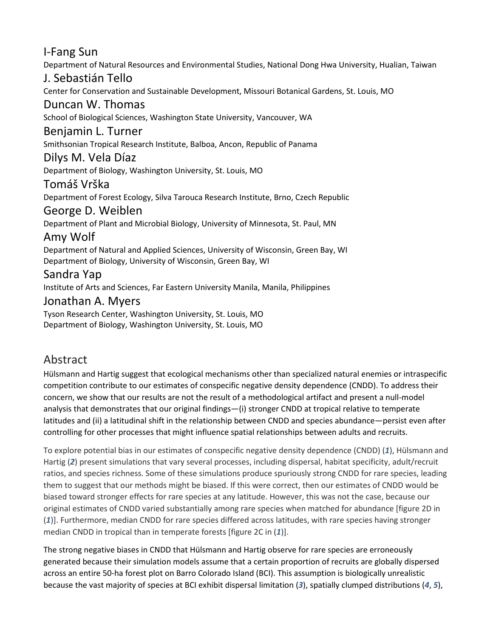## I-Fang Sun

Department of Natural Resources and Environmental Studies, National Dong Hwa University, Hualian, Taiwan

## J. Sebastián Tello

Center for Conservation and Sustainable Development, Missouri Botanical Gardens, St. Louis, MO

#### Duncan W. Thomas

School of Biological Sciences, Washington State University, Vancouver, WA

#### Benjamin L. Turner

Smithsonian Tropical Research Institute, Balboa, Ancon, Republic of Panama

#### Dilys M. Vela Díaz

Department of Biology, Washington University, St. Louis, MO

#### Tomáš Vrška

Department of Forest Ecology, Silva Tarouca Research Institute, Brno, Czech Republic

#### George D. Weiblen

Department of Plant and Microbial Biology, University of Minnesota, St. Paul, MN

## Amy Wolf

Department of Natural and Applied Sciences, University of Wisconsin, Green Bay, WI Department of Biology, University of Wisconsin, Green Bay, WI

## Sandra Yap

Institute of Arts and Sciences, Far Eastern University Manila, Manila, Philippines

## Jonathan A. Myers

Tyson Research Center, Washington University, St. Louis, MO Department of Biology, Washington University, St. Louis, MO

## Abstract

Hülsmann and Hartig suggest that ecological mechanisms other than specialized natural enemies or intraspecific competition contribute to our estimates of conspecific negative density dependence (CNDD). To address their concern, we show that our results are not the result of a methodological artifact and present a null-model analysis that demonstrates that our original findings—(i) stronger CNDD at tropical relative to temperate latitudes and (ii) a latitudinal shift in the relationship between CNDD and species abundance—persist even after controlling for other processes that might influence spatial relationships between adults and recruits.

To explore potential bias in our estimates of conspecific negative density dependence (CNDD) (*[1](https://science.sciencemag.org/content/360/6391/eaar3824#ref-1)*), Hülsmann and Hartig (*[2](https://science.sciencemag.org/content/360/6391/eaar3824#ref-2)*) present simulations that vary several processes, including dispersal, habitat specificity, adult/recruit ratios, and species richness. Some of these simulations produce spuriously strong CNDD for rare species, leading them to suggest that our methods might be biased. If this were correct, then our estimates of CNDD would be biased toward stronger effects for rare species at any latitude. However, this was not the case, because our original estimates of CNDD varied substantially among rare species when matched for abundance [figure 2D in (*[1](https://science.sciencemag.org/content/360/6391/eaar3824#ref-1)*)]. Furthermore, median CNDD for rare species differed across latitudes, with rare species having stronger median CNDD in tropical than in temperate forests [figure 2C in (*[1](https://science.sciencemag.org/content/360/6391/eaar3824#ref-1)*)].

The strong negative biases in CNDD that Hülsmann and Hartig observe for rare species are erroneously generated because their simulation models assume that a certain proportion of recruits are globally dispersed across an entire 50-ha forest plot on Barro Colorado Island (BCI). This assumption is biologically unrealistic because the vast majority of species at BCI exhibit dispersal limitation (*[3](https://science.sciencemag.org/content/360/6391/eaar3824#ref-3)*), spatially clumped distributions (*[4](https://science.sciencemag.org/content/360/6391/eaar3824#ref-4)*, *[5](https://science.sciencemag.org/content/360/6391/eaar3824#ref-5)*),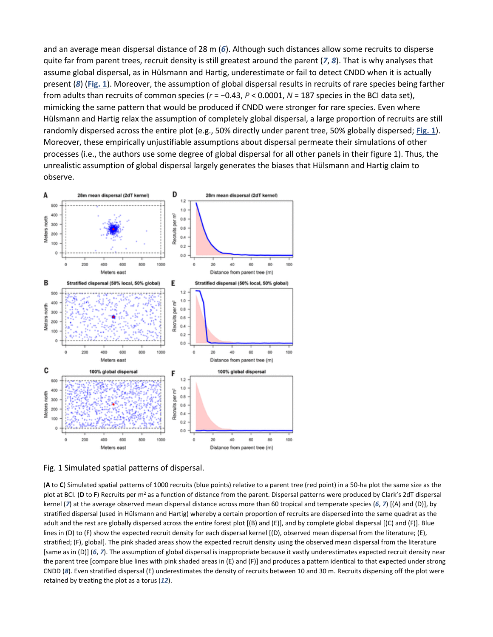and an average mean dispersal distance of 28 m (*[6](https://science.sciencemag.org/content/360/6391/eaar3824#ref-6)*). Although such distances allow some recruits to disperse quite far from parent trees, recruit density is still greatest around the parent (*[7](https://science.sciencemag.org/content/360/6391/eaar3824#ref-7)*, *[8](https://science.sciencemag.org/content/360/6391/eaar3824#ref-8)*). That is why analyses that assume global dispersal, as in Hülsmann and Hartig, underestimate or fail to detect CNDD when it is actually present (*[8](https://science.sciencemag.org/content/360/6391/eaar3824#ref-8)*) (**[Fig. 1](https://science.sciencemag.org/content/360/6391/eaar3824#F1)**). Moreover, the assumption of global dispersal results in recruits of rare species being farther from adults than recruits of common species (*r* = −0.43, *P* < 0.0001, *N* = 187 species in the BCI data set), mimicking the same pattern that would be produced if CNDD were stronger for rare species. Even where Hülsmann and Hartig relax the assumption of completely global dispersal, a large proportion of recruits are still randomly dispersed across the entire plot (e.g., 50% directly under parent tree, 50% globally dispersed; **[Fig. 1](https://science.sciencemag.org/content/360/6391/eaar3824#F1)**). Moreover, these empirically unjustifiable assumptions about dispersal permeate their simulations of other processes (i.e., the authors use some degree of global dispersal for all other panels in their figure 1). Thus, the unrealistic assumption of global dispersal largely generates the biases that Hülsmann and Hartig claim to observe.



Fig. 1 Simulated spatial patterns of dispersal.

(**A** to **C**) Simulated spatial patterns of 1000 recruits (blue points) relative to a parent tree (red point) in a 50-ha plot the same size as the plot at BCI. (D to F) Recruits per m<sup>2</sup> as a function of distance from the parent. Dispersal patterns were produced by Clark's 2dT dispersal kernel (*[7](https://science.sciencemag.org/content/360/6391/eaar3824#ref-7)*) at the average observed mean dispersal distance across more than 60 tropical and temperate species (*[6](https://science.sciencemag.org/content/360/6391/eaar3824#ref-6)*, *[7](https://science.sciencemag.org/content/360/6391/eaar3824#ref-7)*) [(A) and (D)], by stratified dispersal (used in Hülsmann and Hartig) whereby a certain proportion of recruits are dispersed into the same quadrat as the adult and the rest are globally dispersed across the entire forest plot [(B) and (E)], and by complete global dispersal [(C) and (F)]. Blue lines in (D) to (F) show the expected recruit density for each dispersal kernel [(D), observed mean dispersal from the literature; (E), stratified; (F), global]. The pink shaded areas show the expected recruit density using the observed mean dispersal from the literature [same as in (D)] (*[6](https://science.sciencemag.org/content/360/6391/eaar3824#ref-6)*, *[7](https://science.sciencemag.org/content/360/6391/eaar3824#ref-7)*). The assumption of global dispersal is inappropriate because it vastly underestimates expected recruit density near the parent tree [compare blue lines with pink shaded areas in (E) and (F)] and produces a pattern identical to that expected under strong CNDD (*[8](https://science.sciencemag.org/content/360/6391/eaar3824#ref-8)*). Even stratified dispersal (E) underestimates the density of recruits between 10 and 30 m. Recruits dispersing off the plot were retained by treating the plot as a torus (*[12](https://science.sciencemag.org/content/360/6391/eaar3824#ref-12)*).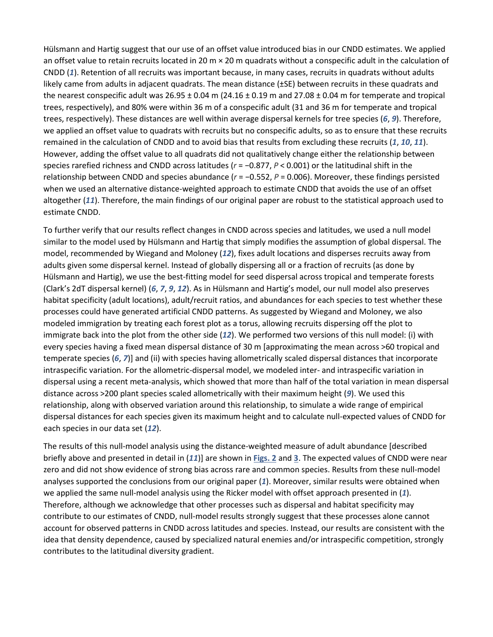Hülsmann and Hartig suggest that our use of an offset value introduced bias in our CNDD estimates. We applied an offset value to retain recruits located in 20 m  $\times$  20 m quadrats without a conspecific adult in the calculation of CNDD (*[1](https://science.sciencemag.org/content/360/6391/eaar3824#ref-1)*). Retention of all recruits was important because, in many cases, recruits in quadrats without adults likely came from adults in adjacent quadrats. The mean distance (±SE) between recruits in these quadrats and the nearest conspecific adult was  $26.95 \pm 0.04$  m (24.16  $\pm$  0.19 m and 27.08  $\pm$  0.04 m for temperate and tropical trees, respectively), and 80% were within 36 m of a conspecific adult (31 and 36 m for temperate and tropical trees, respectively). These distances are well within average dispersal kernels for tree species (*[6](https://science.sciencemag.org/content/360/6391/eaar3824#ref-6)*, *[9](https://science.sciencemag.org/content/360/6391/eaar3824#ref-9)*). Therefore, we applied an offset value to quadrats with recruits but no conspecific adults, so as to ensure that these recruits remained in the calculation of CNDD and to avoid bias that results from excluding these recruits (*[1](https://science.sciencemag.org/content/360/6391/eaar3824#ref-1)*, *[10](https://science.sciencemag.org/content/360/6391/eaar3824#ref-10)*, *[11](https://science.sciencemag.org/content/360/6391/eaar3824#ref-11)*). However, adding the offset value to all quadrats did not qualitatively change either the relationship between species rarefied richness and CNDD across latitudes (*r* = −0.877, *P* < 0.001) or the latitudinal shift in the relationship between CNDD and species abundance (*r* = −0.552, *P* = 0.006). Moreover, these findings persisted when we used an alternative distance-weighted approach to estimate CNDD that avoids the use of an offset altogether (*[11](https://science.sciencemag.org/content/360/6391/eaar3824#ref-11)*). Therefore, the main findings of our original paper are robust to the statistical approach used to estimate CNDD.

To further verify that our results reflect changes in CNDD across species and latitudes, we used a null model similar to the model used by Hülsmann and Hartig that simply modifies the assumption of global dispersal. The model, recommended by Wiegand and Moloney (*[12](https://science.sciencemag.org/content/360/6391/eaar3824#ref-12)*), fixes adult locations and disperses recruits away from adults given some dispersal kernel. Instead of globally dispersing all or a fraction of recruits (as done by Hülsmann and Hartig), we use the best-fitting model for seed dispersal across tropical and temperate forests (Clark's 2dT dispersal kernel) (*[6](https://science.sciencemag.org/content/360/6391/eaar3824#ref-6)*, *[7](https://science.sciencemag.org/content/360/6391/eaar3824#ref-7)*, *[9](https://science.sciencemag.org/content/360/6391/eaar3824#ref-9)*, *[12](https://science.sciencemag.org/content/360/6391/eaar3824#ref-12)*). As in Hülsmann and Hartig's model, our null model also preserves habitat specificity (adult locations), adult/recruit ratios, and abundances for each species to test whether these processes could have generated artificial CNDD patterns. As suggested by Wiegand and Moloney, we also modeled immigration by treating each forest plot as a torus, allowing recruits dispersing off the plot to immigrate back into the plot from the other side (*[12](https://science.sciencemag.org/content/360/6391/eaar3824#ref-12)*). We performed two versions of this null model: (i) with every species having a fixed mean dispersal distance of 30 m [approximating the mean across >60 tropical and temperate species (*[6](https://science.sciencemag.org/content/360/6391/eaar3824#ref-6)*, *[7](https://science.sciencemag.org/content/360/6391/eaar3824#ref-7)*)] and (ii) with species having allometrically scaled dispersal distances that incorporate intraspecific variation. For the allometric-dispersal model, we modeled inter- and intraspecific variation in dispersal using a recent meta-analysis, which showed that more than half of the total variation in mean dispersal distance across >200 plant species scaled allometrically with their maximum height (*[9](https://science.sciencemag.org/content/360/6391/eaar3824#ref-9)*). We used this relationship, along with observed variation around this relationship, to simulate a wide range of empirical dispersal distances for each species given its maximum height and to calculate null-expected values of CNDD for each species in our data set (*[12](https://science.sciencemag.org/content/360/6391/eaar3824#ref-12)*).

The results of this null-model analysis using the distance-weighted measure of adult abundance [described briefly above and presented in detail in (*[11](https://science.sciencemag.org/content/360/6391/eaar3824#ref-11)*)] are shown in **[Figs. 2](https://science.sciencemag.org/content/360/6391/eaar3824#F2)** and **[3](https://science.sciencemag.org/content/360/6391/eaar3824#F3)**. The expected values of CNDD were near zero and did not show evidence of strong bias across rare and common species. Results from these null-model analyses supported the conclusions from our original paper (*[1](https://science.sciencemag.org/content/360/6391/eaar3824#ref-1)*). Moreover, similar results were obtained when we applied the same null-model analysis using the Ricker model with offset approach presented in (*[1](https://science.sciencemag.org/content/360/6391/eaar3824#ref-1)*). Therefore, although we acknowledge that other processes such as dispersal and habitat specificity may contribute to our estimates of CNDD, null-model results strongly suggest that these processes alone cannot account for observed patterns in CNDD across latitudes and species. Instead, our results are consistent with the idea that density dependence, caused by specialized natural enemies and/or intraspecific competition, strongly contributes to the latitudinal diversity gradient.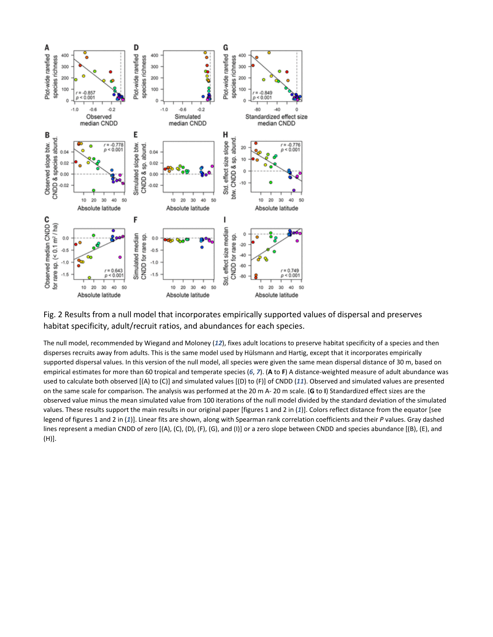

Fig. 2 Results from a null model that incorporates empirically supported values of dispersal and preserves habitat specificity, adult/recruit ratios, and abundances for each species.

The null model, recommended by Wiegand and Moloney (*[12](https://science.sciencemag.org/content/360/6391/eaar3824#ref-12)*), fixes adult locations to preserve habitat specificity of a species and then disperses recruits away from adults. This is the same model used by Hülsmann and Hartig, except that it incorporates empirically supported dispersal values. In this version of the null model, all species were given the same mean dispersal distance of 30 m, based on empirical estimates for more than 60 tropical and temperate species (*[6](https://science.sciencemag.org/content/360/6391/eaar3824#ref-6)*, *[7](https://science.sciencemag.org/content/360/6391/eaar3824#ref-7)*). (**A** to **F**) A distance-weighted measure of adult abundance was used to calculate both observed [(A) to (C)] and simulated values [(D) to (F)] of CNDD (*[11](https://science.sciencemag.org/content/360/6391/eaar3824#ref-11)*). Observed and simulated values are presented on the same scale for comparison. The analysis was performed at the 20 m A- 20 m scale. (**G** to **I**) Standardized effect sizes are the observed value minus the mean simulated value from 100 iterations of the null model divided by the standard deviation of the simulated values. These results support the main results in our original paper [figures 1 and 2 in (*[1](https://science.sciencemag.org/content/360/6391/eaar3824#ref-1)*)]. Colors reflect distance from the equator [see legend of figures 1 and 2 in (*[1](https://science.sciencemag.org/content/360/6391/eaar3824#ref-1)*)]. Linear fits are shown, along with Spearman rank correlation coefficients and their *P* values. Gray dashed lines represent a median CNDD of zero [(A), (C), (D), (F), (G), and (I)] or a zero slope between CNDD and species abundance [(B), (E), and (H)].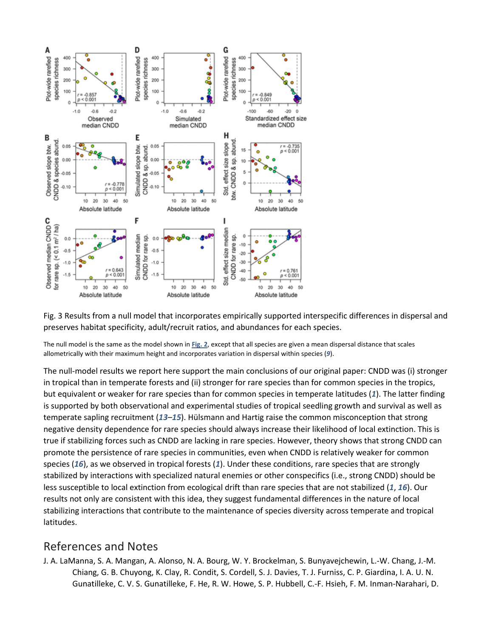

Fig. 3 Results from a null model that incorporates empirically supported interspecific differences in dispersal and preserves habitat specificity, adult/recruit ratios, and abundances for each species.

The null model is the same as the model shown in **[Fig. 2](https://science.sciencemag.org/content/360/6391/eaar3824#F2)**, except that all species are given a mean dispersal distance that scales allometrically with their maximum height and incorporates variation in dispersal within species (*[9](https://science.sciencemag.org/content/360/6391/eaar3824#ref-9)*).

The null-model results we report here support the main conclusions of our original paper: CNDD was (i) stronger in tropical than in temperate forests and (ii) stronger for rare species than for common species in the tropics, but equivalent or weaker for rare species than for common species in temperate latitudes (*[1](https://science.sciencemag.org/content/360/6391/eaar3824#ref-1)*). The latter finding is supported by both observational and experimental studies of tropical seedling growth and survival as well as temperate sapling recruitment (*[13](https://science.sciencemag.org/content/360/6391/eaar3824#ref-13)*–*[15](https://science.sciencemag.org/content/360/6391/eaar3824#ref-15)*). Hülsmann and Hartig raise the common misconception that strong negative density dependence for rare species should always increase their likelihood of local extinction. This is true if stabilizing forces such as CNDD are lacking in rare species. However, theory shows that strong CNDD can promote the persistence of rare species in communities, even when CNDD is relatively weaker for common species (*[16](https://science.sciencemag.org/content/360/6391/eaar3824#ref-16)*), as we observed in tropical forests (*[1](https://science.sciencemag.org/content/360/6391/eaar3824#ref-1)*). Under these conditions, rare species that are strongly stabilized by interactions with specialized natural enemies or other conspecifics (i.e., strong CNDD) should be less susceptible to local extinction from ecological drift than rare species that are not stabilized (*[1](https://science.sciencemag.org/content/360/6391/eaar3824#ref-1)*, *[16](https://science.sciencemag.org/content/360/6391/eaar3824#ref-16)*). Our results not only are consistent with this idea, they suggest fundamental differences in the nature of local stabilizing interactions that contribute to the maintenance of species diversity across temperate and tropical latitudes.

#### References and Notes

J. A. LaManna, S. A. Mangan, A. Alonso, N. A. Bourg, W. Y. Brockelman, S. Bunyavejchewin, L.-W. Chang, J.-M. Chiang, G. B. Chuyong, K. Clay, R. Condit, S. Cordell, S. J. Davies, T. J. Furniss, C. P. Giardina, I. A. U. N. Gunatilleke, C. V. S. Gunatilleke, F. He, R. W. Howe, S. P. Hubbell, C.-F. Hsieh, F. M. Inman-Narahari, D.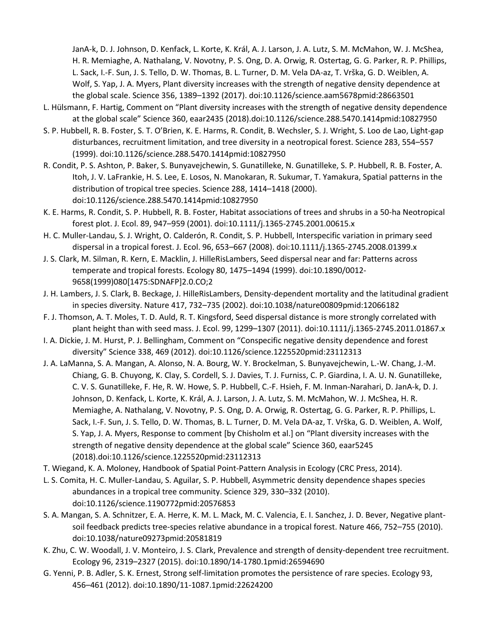JanA-k, D. J. Johnson, D. Kenfack, L. Korte, K. Král, A. J. Larson, J. A. Lutz, S. M. McMahon, W. J. McShea, H. R. Memiaghe, A. Nathalang, V. Novotny, P. S. Ong, D. A. Orwig, R. Ostertag, G. G. Parker, R. P. Phillips, L. Sack, I.-F. Sun, J. S. Tello, D. W. Thomas, B. L. Turner, D. M. Vela DA-az, T. Vrška, G. D. Weiblen, A. Wolf, S. Yap, J. A. Myers, Plant diversity increases with the strength of negative density dependence at the global scale. Science 356, 1389–1392 (2017). doi:10.1126/science.aam5678pmid:28663501

- L. Hülsmann, F. Hartig, Comment on "Plant diversity increases with the strength of negative density dependence at the global scale" Science 360, eaar2435 (2018).doi:10.1126/science.288.5470.1414pmid:10827950
- S. P. Hubbell, R. B. Foster, S. T. O'Brien, K. E. Harms, R. Condit, B. Wechsler, S. J. Wright, S. Loo de Lao, Light-gap disturbances, recruitment limitation, and tree diversity in a neotropical forest. Science 283, 554–557 (1999). doi:10.1126/science.288.5470.1414pmid:10827950
- R. Condit, P. S. Ashton, P. Baker, S. Bunyavejchewin, S. Gunatilleke, N. Gunatilleke, S. P. Hubbell, R. B. Foster, A. Itoh, J. V. LaFrankie, H. S. Lee, E. Losos, N. Manokaran, R. Sukumar, T. Yamakura, Spatial patterns in the distribution of tropical tree species. Science 288, 1414–1418 (2000). doi:10.1126/science.288.5470.1414pmid:10827950
- K. E. Harms, R. Condit, S. P. Hubbell, R. B. Foster, Habitat associations of trees and shrubs in a 50-ha Neotropical forest plot. J. Ecol. 89, 947–959 (2001). doi:10.1111/j.1365-2745.2001.00615.x
- H. C. Muller-Landau, S. J. Wright, O. Calderón, R. Condit, S. P. Hubbell, Interspecific variation in primary seed dispersal in a tropical forest. J. Ecol. 96, 653–667 (2008). doi:10.1111/j.1365-2745.2008.01399.x
- J. S. Clark, M. Silman, R. Kern, E. Macklin, J. HilleRisLambers, Seed dispersal near and far: Patterns across temperate and tropical forests. Ecology 80, 1475–1494 (1999). doi:10.1890/0012- 9658(1999)080[1475:SDNAFP]2.0.CO;2
- J. H. Lambers, J. S. Clark, B. Beckage, J. HilleRisLambers, Density-dependent mortality and the latitudinal gradient in species diversity. Nature 417, 732–735 (2002). doi:10.1038/nature00809pmid:12066182
- F. J. Thomson, A. T. Moles, T. D. Auld, R. T. Kingsford, Seed dispersal distance is more strongly correlated with plant height than with seed mass. J. Ecol. 99, 1299–1307 (2011). doi:10.1111/j.1365-2745.2011.01867.x
- I. A. Dickie, J. M. Hurst, P. J. Bellingham, Comment on "Conspecific negative density dependence and forest diversity" Science 338, 469 (2012). doi:10.1126/science.1225520pmid:23112313
- J. A. LaManna, S. A. Mangan, A. Alonso, N. A. Bourg, W. Y. Brockelman, S. Bunyavejchewin, L.-W. Chang, J.-M. Chiang, G. B. Chuyong, K. Clay, S. Cordell, S. J. Davies, T. J. Furniss, C. P. Giardina, I. A. U. N. Gunatilleke, C. V. S. Gunatilleke, F. He, R. W. Howe, S. P. Hubbell, C.-F. Hsieh, F. M. Inman-Narahari, D. JanA-k, D. J. Johnson, D. Kenfack, L. Korte, K. Král, A. J. Larson, J. A. Lutz, S. M. McMahon, W. J. McShea, H. R. Memiaghe, A. Nathalang, V. Novotny, P. S. Ong, D. A. Orwig, R. Ostertag, G. G. Parker, R. P. Phillips, L. Sack, I.-F. Sun, J. S. Tello, D. W. Thomas, B. L. Turner, D. M. Vela DA-az, T. Vrška, G. D. Weiblen, A. Wolf, S. Yap, J. A. Myers, Response to comment [by Chisholm et al.] on "Plant diversity increases with the strength of negative density dependence at the global scale" Science 360, eaar5245 (2018).doi:10.1126/science.1225520pmid:23112313
- T. Wiegand, K. A. Moloney, Handbook of Spatial Point-Pattern Analysis in Ecology (CRC Press, 2014).
- L. S. Comita, H. C. Muller-Landau, S. Aguilar, S. P. Hubbell, Asymmetric density dependence shapes species abundances in a tropical tree community. Science 329, 330–332 (2010). doi:10.1126/science.1190772pmid:20576853
- S. A. Mangan, S. A. Schnitzer, E. A. Herre, K. M. L. Mack, M. C. Valencia, E. I. Sanchez, J. D. Bever, Negative plantsoil feedback predicts tree-species relative abundance in a tropical forest. Nature 466, 752–755 (2010). doi:10.1038/nature09273pmid:20581819
- K. Zhu, C. W. Woodall, J. V. Monteiro, J. S. Clark, Prevalence and strength of density-dependent tree recruitment. Ecology 96, 2319–2327 (2015). doi:10.1890/14-1780.1pmid:26594690
- G. Yenni, P. B. Adler, S. K. Ernest, Strong self-limitation promotes the persistence of rare species. Ecology 93, 456–461 (2012). doi:10.1890/11-1087.1pmid:22624200